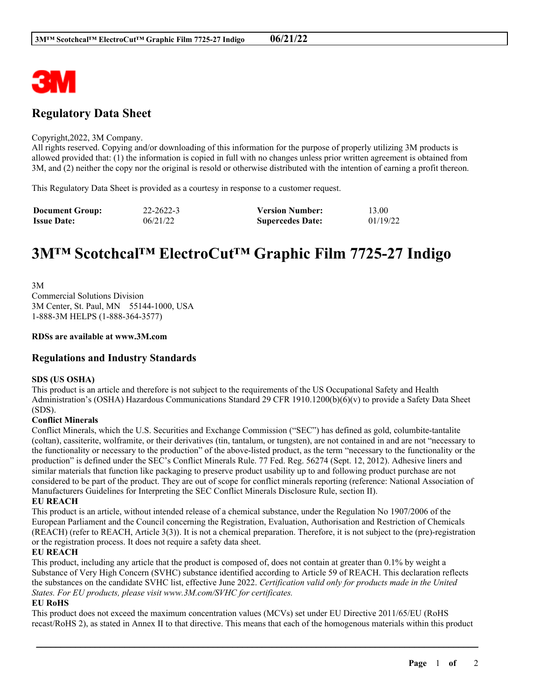

## **Regulatory Data Sheet**

#### Copyright,2022, 3M Company.

All rights reserved. Copying and/or downloading of this information for the purpose of properly utilizing 3M products is allowed provided that: (1) the information is copied in full with no changes unless prior written agreement is obtained from 3M, and (2) neither the copy nor the original is resold or otherwise distributed with the intention of earning a profit thereon.

This Regulatory Data Sheet is provided as a courtesy in response to a customer request.

| <b>Document Group:</b> | 22-2622-3 | <b>Version Number:</b>  | 13.00    |
|------------------------|-----------|-------------------------|----------|
| <b>Issue Date:</b>     | 06/21/22  | <b>Supercedes Date:</b> | 01/19/22 |

# **3M™ Scotchcal™ ElectroCut™ Graphic Film 7725-27 Indigo**

3M Commercial Solutions Division 3M Center, St. Paul, MN 55144-1000, USA 1-888-3M HELPS (1-888-364-3577)

#### **RDSs are available at www.3M.com**

### **Regulations and Industry Standards**

#### **SDS (US OSHA)**

This product is an article and therefore is not subject to the requirements of the US Occupational Safety and Health Administration's (OSHA) Hazardous Communications Standard 29 CFR 1910.1200(b)(6)(v) to provide a Safety Data Sheet (SDS).

#### **Conflict Minerals**

Conflict Minerals, which the U.S. Securities and Exchange Commission ("SEC") has defined as gold, columbite-tantalite (coltan), cassiterite, wolframite, or their derivatives (tin, tantalum, or tungsten), are not contained in and are not "necessary to the functionality or necessary to the production" of the above-listed product, as the term "necessary to the functionality or the production" is defined under the SEC's Conflict Minerals Rule. 77 Fed. Reg. 56274 (Sept. 12, 2012). Adhesive liners and similar materials that function like packaging to preserve product usability up to and following product purchase are not considered to be part of the product. They are out of scope for conflict minerals reporting (reference: National Association of Manufacturers Guidelines for Interpreting the SEC Conflict Minerals Disclosure Rule, section II).

#### **EU REACH**

This product is an article, without intended release of a chemical substance, under the Regulation No 1907/2006 of the European Parliament and the Council concerning the Registration, Evaluation, Authorisation and Restriction of Chemicals (REACH) (refer to REACH, Article 3(3)). It is not a chemical preparation. Therefore, it is not subject to the (pre)-registration or the registration process. It does not require a safety data sheet.

#### **EU REACH**

This product, including any article that the product is composed of, does not contain at greater than 0.1% by weight a Substance of Very High Concern (SVHC) substance identified according to Article 59 of REACH. This declaration reflects the substances on the candidate SVHC list, effective June 2022. *Certification valid only for products made in the United States. For EU products, please visit www.3M.com/SVHC for certificates.*

#### **EU RoHS**

This product does not exceed the maximum concentration values (MCVs) set under EU Directive 2011/65/EU (RoHS recast/RoHS 2), as stated in Annex II to that directive. This means that each of the homogenous materials within this product

\_\_\_\_\_\_\_\_\_\_\_\_\_\_\_\_\_\_\_\_\_\_\_\_\_\_\_\_\_\_\_\_\_\_\_\_\_\_\_\_\_\_\_\_\_\_\_\_\_\_\_\_\_\_\_\_\_\_\_\_\_\_\_\_\_\_\_\_\_\_\_\_\_\_\_\_\_\_\_\_\_\_\_\_\_\_\_\_\_\_